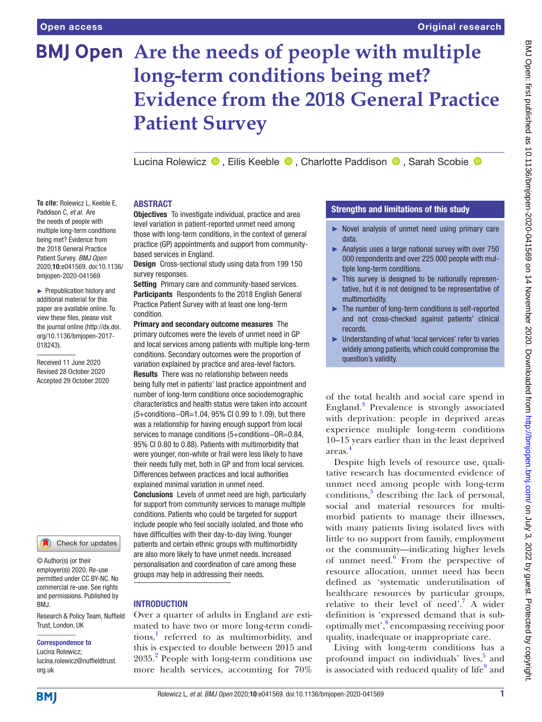**To cite:** Rolewicz L, Keeble E, Paddison C, *et al*. Are the needs of people with multiple long-term conditions being met? Evidence from the 2018 General Practice Patient Survey. *BMJ Open* 2020;10:e041569. doi:10.1136/ bmjopen-2020-041569 ► Prepublication history and additional material for this paper are available online. To view these files, please visit the journal online (http://dx.doi. org/10.1136/bmjopen-2017-

018243).

Received 11 June 2020 Revised 28 October 2020 Accepted 29 October 2020

# **BMJ Open** Are the needs of people with multiple **long-term conditions being met? Evidence from the 2018 General Practice Patient Survey**

LucinaRolewicz <sup>®</sup>, Eilís Keeble <sup>®</sup>, Charlotte Paddison <sup>®</sup>, Sarah Scobie <sup>®</sup>

# ABSTRACT

**Objectives** To investigate individual, practice and area level variation in patient-reported unmet need among those with long-term conditions, in the context of general practice (GP) appointments and support from communitybased services in England.

Design Cross-sectional study using data from 199 150 survey responses.

Setting Primary care and community-based services. Participants Respondents to the 2018 English General Practice Patient Survey with at least one long-term condition.

Primary and secondary outcome measures The primary outcomes were the levels of unmet need in GP and local services among patients with multiple long-term conditions. Secondary outcomes were the proportion of variation explained by practice and area-level factors. Results There was no relationship between needs being fully met in patients' last practice appointment and number of long-term conditions once sociodemographic characteristics and health status were taken into account (5+conditions−OR=1.04, 95% CI 0.99 to 1.09), but there was a relationship for having enough support from local services to manage conditions (5+conditions−OR=0.84, 95% CI 0.80 to 0.88). Patients with multimorbidity that were younger, non-white or frail were less likely to have their needs fully met, both in GP and from local services. Differences between practices and local authorities explained minimal variation in unmet need. Conclusions Levels of unmet need are high, particularly for support from community services to manage multiple conditions. Patients who could be targeted for support include people who feel socially isolated, and those who have difficulties with their day-to-day living. Younger patients and certain ethnic groups with multimorbidity are also more likely to have unmet needs. Increased personalisation and coordination of care among these groups may help in addressing their needs.

# INTRODUCTION

Over a quarter of adults in England are estimated to have two or more long-term condi-tions,<sup>[1](#page-8-0)</sup> referred to as multimorbidity, and this is expected to double between 2015 and [2](#page-8-1)035.<sup>2</sup> People with long-term conditions use more health services, accounting for 70%

# Strengths and limitations of this study

- ► Novel analysis of unmet need using primary care data.
- ► Analysis uses a large national survey with over 750 000 respondents and over 225 000 people with multiple long-term conditions.
- ► This survey is designed to be nationally representative, but it is not designed to be representative of multimorbidity.
- ► The number of long-term conditions is self-reported and not cross-checked against patients' clinical records.
- ► Understanding of what 'local services' refer to varies widely among patients, which could compromise the question's validity.

of the total health and social care spend in England.[3](#page-8-2) Prevalence is strongly associated with deprivation: people in deprived areas experience multiple long-term conditions 10–15 years earlier than in the least deprived areas.<sup>[4](#page-8-3)</sup>

Despite high levels of resource use, qualitative research has documented evidence of unmet need among people with long-term conditions,<sup>[5](#page-8-4)</sup> describing the lack of personal, social and material resources for multimorbid patients to manage their illnesses, with many patients living isolated lives with little to no support from family, employment or the community—indicating higher levels of unmet need. $6$  From the perspective of resource allocation, unmet need has been defined as 'systematic underutilisation of healthcare resources by particular groups, relative to their level of need'.<sup>[7](#page-8-6)</sup> A wider definition is 'expressed demand that is suboptimally met',<sup>8</sup> encompassing receiving poor quality, inadequate or inappropriate care.

Living with long-term conditions has a profound impact on individuals' lives,<sup>5</sup> and is associated with reduced quality of life $9$  and

# org.uk **BMI**

Research & Policy Team, Nuffield

Check for updates

lucina.rolewicz@nuffieldtrust.

Trust, London, UK Correspondence to Lucina Rolewicz;

BMJ.

© Author(s) (or their employer(s)) 2020. Re-use permitted under CC BY-NC. No commercial re-use. See rights and permissions. Published by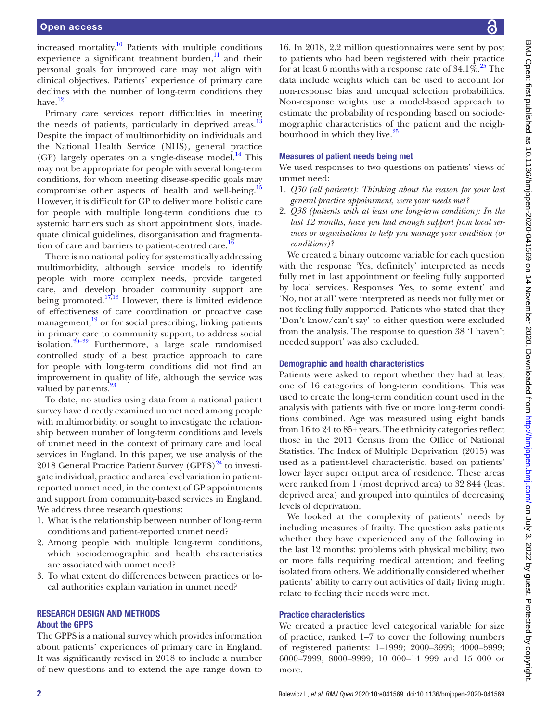increased mortality.<sup>10</sup> Patients with multiple conditions experience a significant treatment burden, $\frac{11}{11}$  and their personal goals for improved care may not align with clinical objectives. Patients' experience of primary care declines with the number of long-term conditions they have.<sup>[12](#page-9-0)</sup>

Primary care services report difficulties in meeting the needs of patients, particularly in deprived areas. Despite the impact of multimorbidity on individuals and the National Health Service (NHS), general practice (GP) largely operates on a single-disease model.<sup>[14](#page-9-2)</sup> This may not be appropriate for people with several long-term conditions, for whom meeting disease-specific goals may compromise other aspects of health and well-being.<sup>[15](#page-9-3)</sup> However, it is difficult for GP to deliver more holistic care for people with multiple long-term conditions due to systemic barriers such as short appointment slots, inadequate clinical guidelines, disorganisation and fragmentation of care and barriers to patient-centred care.<sup>16</sup>

There is no national policy for systematically addressing multimorbidity, although service models to identify people with more complex needs, provide targeted care, and develop broader community support are being promoted. $17,18$  However, there is limited evidence of effectiveness of care coordination or proactive case management,<sup>[19](#page-9-7)</sup> or for social prescribing, linking patients in primary care to community support, to address social isolation. $20-22$  Furthermore, a large scale randomised controlled study of a best practice approach to care for people with long-term conditions did not find an improvement in quality of life, although the service was valued by patients.<sup>[23](#page-9-9)</sup>

To date, no studies using data from a national patient survey have directly examined unmet need among people with multimorbidity, or sought to investigate the relationship between number of long-term conditions and levels of unmet need in the context of primary care and local services in England. In this paper, we use analysis of the 2018 General Practice Patient Survey  $(GPPS)^{24}$  to investigate individual, practice and area level variation in patientreported unmet need, in the context of GP appointments and support from community-based services in England. We address three research questions:

- 1. What is the relationship between number of long-term conditions and patient-reported unmet need?
- 2. Among people with multiple long-term conditions, which sociodemographic and health characteristics are associated with unmet need?
- 3. To what extent do differences between practices or local authorities explain variation in unmet need?

# RESEARCH DESIGN AND METHODS About the GPPS

The GPPS is a national survey which provides information about patients' experiences of primary care in England. It was significantly revised in 2018 to include a number of new questions and to extend the age range down to

16. In 2018, 2.2 million questionnaires were sent by post to patients who had been registered with their practice for at least 6 months with a response rate of  $34.1\%$ <sup>25</sup>. The data include weights which can be used to account for non-response bias and unequal selection probabilities. Non-response weights use a model-based approach to estimate the probability of responding based on sociodemographic characteristics of the patient and the neighbourhood in which they live.<sup>25</sup>

## Measures of patient needs being met

We used responses to two questions on patients' views of unmet need:

- 1. *Q30 (all patients): Thinking about the reason for your last general practice appointment, were your needs met?*
- 2. *Q38 (patients with at least one long-term condition): In the last 12 months, have you had enough support from local services or organisations to help you manage your condition (or conditions)?*

We created a binary outcome variable for each question with the response 'Yes, definitely' interpreted as needs fully met in last appointment or feeling fully supported by local services. Responses 'Yes, to some extent' and 'No, not at all' were interpreted as needs not fully met or not feeling fully supported. Patients who stated that they 'Don't know/can't say' to either question were excluded from the analysis. The response to question 38 'I haven't needed support' was also excluded.

#### Demographic and health characteristics

Patients were asked to report whether they had at least one of 16 categories of long-term conditions. This was used to create the long-term condition count used in the analysis with patients with five or more long-term conditions combined. Age was measured using eight bands from 16 to 24 to 85+ years. The ethnicity categories reflect those in the 2011 Census from the Office of National Statistics. The Index of Multiple Deprivation (2015) was used as a patient-level characteristic, based on patients' lower layer super output area of residence. These areas were ranked from 1 (most deprived area) to 32 844 (least deprived area) and grouped into quintiles of decreasing levels of deprivation.

We looked at the complexity of patients' needs by including measures of frailty. The question asks patients whether they have experienced any of the following in the last 12 months: problems with physical mobility; two or more falls requiring medical attention; and feeling isolated from others. We additionally considered whether patients' ability to carry out activities of daily living might relate to feeling their needs were met.

# Practice characteristics

We created a practice level categorical variable for size of practice, ranked 1–7 to cover the following numbers of registered patients: 1–1999; 2000–3999; 4000–5999; 6000–7999; 8000–9999; 10 000–14 999 and 15 000 or more.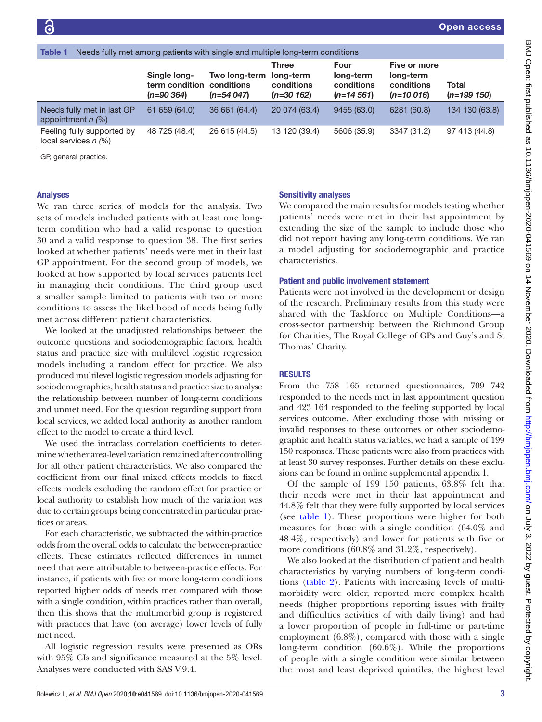<span id="page-2-0"></span>

| Needs fully met among patients with single and multiple long-term conditions<br>Table 1 |                                                |                                            |                                                         |                                                |                                                        |                        |
|-----------------------------------------------------------------------------------------|------------------------------------------------|--------------------------------------------|---------------------------------------------------------|------------------------------------------------|--------------------------------------------------------|------------------------|
|                                                                                         | Single long-<br>term condition<br>$(n=90 364)$ | Two long-term<br>conditions<br>$(n=54047)$ | <b>Three</b><br>long-term<br>conditions<br>$(n=30 162)$ | Four<br>long-term<br>conditions<br>$(n=14561)$ | Five or more<br>long-term<br>conditions<br>$(n=10016)$ | Total<br>$(n=199 150)$ |
| Needs fully met in last GP<br>appointment $n$ (%)                                       | 61 659 (64.0)                                  | 36 661 (64.4)                              | 20 074 (63.4)                                           | 9455 (63.0)                                    | 6281 (60.8)                                            | 134 130 (63.8)         |
| Feeling fully supported by<br>local services $n$ $\left(\% \right)$                     | 48 725 (48.4)                                  | 26 615 (44.5)                              | 13 120 (39.4)                                           | 5606 (35.9)                                    | 3347 (31.2)                                            | 97 413 (44.8)          |
| $\sim$ $\sim$ $\sim$ $\sim$ $\sim$                                                      |                                                |                                            |                                                         |                                                |                                                        |                        |

GP, general practice.

#### Analyses

We ran three series of models for the analysis. Two sets of models included patients with at least one longterm condition who had a valid response to question 30 and a valid response to question 38. The first series looked at whether patients' needs were met in their last GP appointment. For the second group of models, we looked at how supported by local services patients feel in managing their conditions. The third group used a smaller sample limited to patients with two or more conditions to assess the likelihood of needs being fully met across different patient characteristics.

We looked at the unadjusted relationships between the outcome questions and sociodemographic factors, health status and practice size with multilevel logistic regression models including a random effect for practice. We also produced multilevel logistic regression models adjusting for sociodemographics, health status and practice size to analyse the relationship between number of long-term conditions and unmet need. For the question regarding support from local services, we added local authority as another random effect to the model to create a third level.

We used the intraclass correlation coefficients to determine whether area-level variation remained after controlling for all other patient characteristics. We also compared the coefficient from our final mixed effects models to fixed effects models excluding the random effect for practice or local authority to establish how much of the variation was due to certain groups being concentrated in particular practices or areas.

For each characteristic, we subtracted the within-practice odds from the overall odds to calculate the between-practice effects. These estimates reflected differences in unmet need that were attributable to between-practice effects. For instance, if patients with five or more long-term conditions reported higher odds of needs met compared with those with a single condition, within practices rather than overall, then this shows that the multimorbid group is registered with practices that have (on average) lower levels of fully met need.

All logistic regression results were presented as ORs with 95% CIs and significance measured at the 5% level. Analyses were conducted with SAS V.9.4.

#### Sensitivity analyses

We compared the main results for models testing whether patients' needs were met in their last appointment by extending the size of the sample to include those who did not report having any long-term conditions. We ran a model adjusting for sociodemographic and practice characteristics.

### Patient and public involvement statement

Patients were not involved in the development or design of the research. Preliminary results from this study were shared with the Taskforce on Multiple Conditions—a cross-sector partnership between the Richmond Group for Charities, The Royal College of GPs and Guy's and St Thomas' Charity.

# **RESULTS**

From the 758 165 returned questionnaires, 709 742 responded to the needs met in last appointment question and 423 164 responded to the feeling supported by local services outcome. After excluding those with missing or invalid responses to these outcomes or other sociodemographic and health status variables, we had a sample of 199 150 responses. These patients were also from practices with at least 30 survey responses. Further details on these exclusions can be found in [online supplemental appendix 1.](https://dx.doi.org/10.1136/bmjopen-2020-041569)

Of the sample of 199 150 patients, 63.8% felt that their needs were met in their last appointment and 44.8% felt that they were fully supported by local services (see [table](#page-2-0) 1). These proportions were higher for both measures for those with a single condition (64.0% and 48.4%, respectively) and lower for patients with five or more conditions (60.8% and 31.2%, respectively).

We also looked at the distribution of patient and health characteristics by varying numbers of long-term conditions ([table](#page-3-0) 2). Patients with increasing levels of multimorbidity were older, reported more complex health needs (higher proportions reporting issues with frailty and difficulties activities of with daily living) and had a lower proportion of people in full-time or part-time employment (6.8%), compared with those with a single long-term condition (60.6%). While the proportions of people with a single condition were similar between the most and least deprived quintiles, the highest level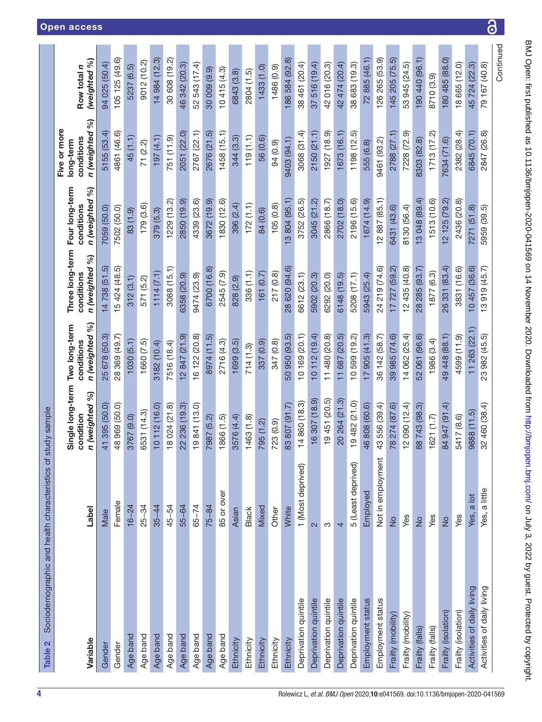<span id="page-3-0"></span>

| Sociodemographic and health characteristics of study sample<br>Table 2 |                         |                                                    |                                               |                                                 |                                                   |                                                             |                             |
|------------------------------------------------------------------------|-------------------------|----------------------------------------------------|-----------------------------------------------|-------------------------------------------------|---------------------------------------------------|-------------------------------------------------------------|-----------------------------|
| Variable                                                               | Label                   | Single long-term<br>Só<br>n (weighted<br>condition | n (weighted %)<br>Two long-term<br>conditions | Three long-term<br>n (weighted %)<br>conditions | Four long-term<br>86<br>n (weighted<br>conditions | %<br>Five or more<br>n (weighted<br>conditions<br>long-term | (weighted %)<br>Row total n |
| Gender                                                                 | Male                    | 41 395 (50.0                                       | 25 678 (50.3                                  | 14738 (51.5)                                    | 7059 (50.0)                                       | 5155 (53.4                                                  | 94 025 (50.4)               |
| Gender                                                                 | Female                  | 48 969 (50.0)                                      | 28 369 (49.7)                                 | 15 424 (48.5)                                   | 7502 (50.0)                                       | 4861 (46.6)                                                 | 105 125 (49.6)              |
| Age band                                                               | $16 - 24$               | 3767 (9.0)                                         | 1030(5.1)                                     | 312(3.1)                                        | 83 (1.9)                                          | 45 (1.1)                                                    | 5237 (6.5)                  |
| Age band                                                               | $25 - 34$               | 6531 (14.3)                                        | 1660 (7.5)                                    | 571 (5.2)                                       | 179(3.6)                                          | 71 (2.2)                                                    | 9012 (10.2)                 |
| Age band                                                               | $35 - 44$               | 10 112 (16.0)                                      | 3182 (10.4)                                   | 1114(7.1)                                       | 379 (5.3)                                         | 197 (4.1)                                                   | 14 984 (12.3)               |
| Age band                                                               | 45-54                   | 18 024 (21.8)                                      | 7516 (18.4)                                   | 3088 (15.1)                                     | 1229(13.2)                                        | 751 (11.9)                                                  | 30 608 (19.2)               |
| Age band                                                               | 55-64                   | 22 236 (19.3)                                      | (2847(21.9))                                  | 6358 (20.9)                                     | 2850 (19.9)                                       | 2051 (22.0)                                                 | 46 342 (20.3)               |
| Age band                                                               | $65 - 74$               | 19841 (13.0)                                       | 16 122 (20.8)                                 | 9474 (23.9)                                     | 4339 (23.6)                                       | 2767 (22.1)                                                 | 52 543 (17.4)               |
| Age band                                                               | $75 - 84$               | 7987 (5.2)                                         | 8974 (11.5)                                   | 6700 (16.8)                                     | 3672 (19.9)                                       | 2676 (21.5)                                                 | 30 009 (9.9)                |
| Age band                                                               | 85 or over              | 1866 (1.5)                                         | 2716 (4.3)                                    | 2545 (7.9)                                      | 1830 (12.6)                                       | 1458(15.1)                                                  | 10415(4.3)                  |
| Ethnicity                                                              | Asian                   | 3576 (4.4)                                         | 1699 (3.5)                                    | 828 (2.9)                                       | 396 (2.4)                                         | 344 (3.3)                                                   | 6843 (3.8)                  |
| Ethnicity                                                              | <b>Black</b>            | 1463(1.8)                                          | 714(1.3)                                      | 336 (1.1)                                       | 172(1.1)                                          | 119(1.1)                                                    | 2804 (1.5)                  |
| Ethnicity                                                              | Mixed                   | 795 (1.2)                                          | 337 (0.9)                                     | 161(0.7)                                        | 84 (0.6)                                          | 56 (0.6)                                                    | 1433(1.0)                   |
| Ethnicity                                                              | Other                   | 723 (0.9)                                          | 347 (0.8)                                     | 217 (0.8)                                       | 105(0.8)                                          | 94 (0.9)                                                    | 1486 (0.9)                  |
| Ethnicity                                                              | White                   | 83 807 (91.7)                                      | 50 950 (93.5)                                 | 28 620 (94.6)                                   | 3 804 (95.1)                                      | 9403 (94.1)                                                 | 186 584 (92.8)              |
| Deprivation quintile                                                   | 1 (Most deprived)       | 14 860 (18.3)                                      | 10 169 (20.1)                                 | 6612 (23.1)                                     | 3752 (26.5)                                       | 3068 (31.4)                                                 | 38 461 (20.4)               |
| Deprivation quintile                                                   | $\overline{\mathsf{c}}$ | 16 307 (18.9)                                      | 10112(19.4)                                   | 5902 (20.3)                                     | 3045 (21.2)                                       | 2150(21.1)                                                  | 37 516 (19.4)               |
| Deprivation quintile                                                   | S                       | 19451 (20.5)                                       | 11 480 (20.8)                                 | 6292 (20.0)                                     | 2866 (18.7)                                       | 1927 (18.9)                                                 | 42 016 (20.3)               |
| Deprivation quintile                                                   | 4                       | 20 264 (21.3)                                      | 11 687 (20.5)                                 | 6148 (19.5)                                     | 2702 (18.0)                                       | 1673 (16.1)                                                 | 42 474 (20.4)               |
| Deprivation quintile                                                   | 5 (Least deprived)      | 19482 (21.0)                                       | 10 599 (19.2)                                 | 5208 (17.1)                                     | 2196 (15.6)                                       | 1198(12.5)                                                  | 38 683 (19.3)               |
| Employment status                                                      | Employed                | 46 808 (60.6)                                      | 17 905 (41.3)                                 | 5943 (25.4)                                     | 1674 (14.9)                                       | 555 (6.8)                                                   | 72 885 (46.1)               |
| Employment status                                                      | Not in employment       | 43 556 (39.4)                                      | 36 142 (58.7)                                 | 24 219 (74.6)                                   | 12 887 (85.1)                                     | 9461 (93.2)                                                 | 126 265 (53.9)              |
| Frailty (mobility)                                                     | $\frac{1}{2}$           | 78 274 (87.6)                                      | 39 985 (74.6)                                 | 17 727 (59.2)                                   | 6431 (43.6)                                       | 2788 (27.1)                                                 | 145 205 (75.5)              |
| Frailty (mobility)                                                     | Yes                     | 12 090 (12.4)                                      | 14 062 (25.4)                                 | 12435(40.8)                                     | 8130 (56.4)                                       | 7228 (72.9)                                                 | 53 945 (24.5)               |
| Frailty (falls)                                                        | $\frac{1}{2}$           | 88 743 (98.3)                                      | 52 061 (96.6)                                 | 28 285 (93.7)                                   | 13 048 (89.4)                                     | 8303 (82.8)                                                 | 190 440 (96.1)              |
| Frailty (falls)                                                        | Yes                     | 1621(1.7)                                          | 1986 (3.4)                                    | 1877(6.3)                                       | 1513 (10.6)                                       | 1713(17.2)                                                  | 8710 (3.9)                  |
| Frailty (isolation)                                                    | $\frac{1}{2}$           | 84 947 (91.4)                                      | 49 448 (88.1)                                 | 26 331 (83.4)                                   | 12 125 (79.2)                                     | 7634 (71.6)                                                 | 180 485 (88.0)              |
| Frailty (isolation)                                                    | Yes                     | 5417 (8.6)                                         | 4599 (11.9)                                   | 3831 (16.6)                                     | 2436 (20.8)                                       | 2382 (28.4)                                                 | 18 665 (12.0)               |
| Activities of daily living                                             | a lot<br>Yes,           | 9888 (11.5)                                        | 11 263 (22.1)                                 | 10457 (36.6)                                    | 7271 (51.8)                                       | 6845 (70.1)                                                 | 45 724 (22.3)               |
| Activities of daily living                                             | a little<br>Yes,        | 32 460 (38.4)                                      | 23 982 (45.5)                                 | 13919 (45.7)                                    | 5959 (39.5)                                       | 2847 (26.8)                                                 | 79 167 (40.8)               |
|                                                                        |                         |                                                    |                                               |                                                 |                                                   |                                                             | Continued                   |

 $\overline{\partial}$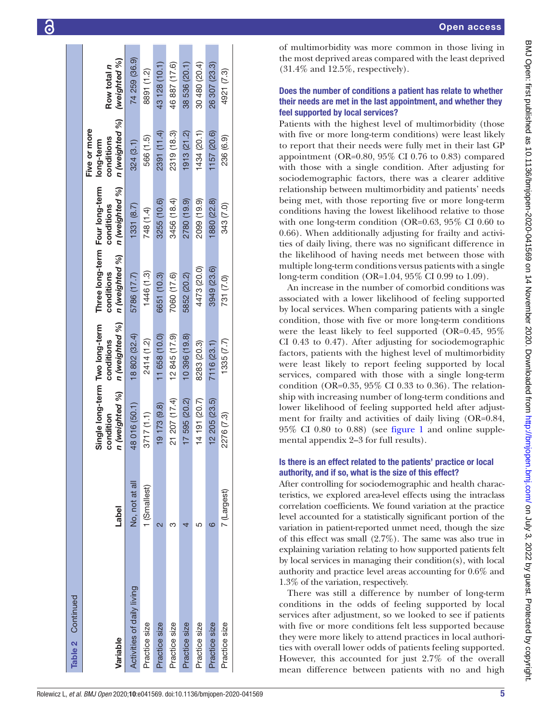| Table 2 Continued          |                |                                                               |                              |                                                                |                              |                                                           |                             |
|----------------------------|----------------|---------------------------------------------------------------|------------------------------|----------------------------------------------------------------|------------------------------|-----------------------------------------------------------|-----------------------------|
| Variable                   | <b>Label</b>   | Single long-term Two long-term<br>n (weighted %)<br>condition | n (weighted %)<br>conditions | Three long-term Four long-term<br>n (weighted %)<br>conditions | n (weighted %)<br>conditions | n (weighted %)<br>Five or more<br>conditions<br>long-term | (weighted %)<br>Row total n |
| Activities of daily living | No, not at all | 48 016 (50.1)                                                 | 18802 (32.4)                 | 5786 (17.7)                                                    | 1331(8.7)                    | 324(3.1)                                                  | 74 259 (36.9)               |
| Practice size              | 1 (Smallest)   | 3717(1.1)                                                     | 2414 (1.2)                   | 1446 (1.3)                                                     | 748 (1.4)                    | 566 (1.5)                                                 | 8891 (1.2)                  |
| Practice size              |                | 19 173 (9.8)                                                  | 11 658 (10.0)                | 6651 (10.3)                                                    | 3255 (10.6)                  | 2391 (11.4)                                               | 43 128 (10.1)               |
| Practice size              |                | 21 207 (17.4)                                                 | 12 845 (17.9)                | 7060 (17.6)                                                    | 3456 (18.4)                  | 2319 (18.3)                                               | 46 887 (17.6)               |
| Practice size              |                | 17 595 (20.2)                                                 | 10 396 (19.8)                | 5852 (20.2)                                                    | 2780 (19.9)                  | 1913(21.2)                                                | 38 536 (20.1)               |
| Practice size              |                | 14 191 (20.7)                                                 | 8283 (20.3)                  | 4473 (20.0)                                                    | 2099 (19.9)                  | (434(20.1))                                               | 30 480 (20.4)               |
| Practice size              | ဖ              | 12 205 (23.5)                                                 | 7116 (23.1)                  | 3949 (23.6)                                                    | 880 (22.8)                   | 1157(20.6)                                                | 26 307 (23.3)               |
| Practice size              | 7 (Largest)    | 2276 (7.3)                                                    | 1335(7.7)                    | 731 (7.0)                                                      | 343 (7.0)                    | 236 (6.9)                                                 | 4921 (7.3)                  |
|                            |                |                                                               |                              |                                                                |                              |                                                           |                             |

Open access

# Does the number of conditions a patient has relate to whether their needs are met in the last appointment, and whether they feel supported by local services?

Patients with the highest level of multimorbidity (those with five or more long-term conditions) were least likely to report that their needs were fully met in their last GP appointment (OR=0.80, 95% CI 0.76 to 0.83) compared with those with a single condition. After adjusting for sociodemographic factors, there was a clearer additive relationship between multimorbidity and patients' needs being met, with those reporting five or more long-term conditions having the lowest likelihood relative to those with one long-term condition (OR=0.63, 95% CI 0.60 to 0.66). When additionally adjusting for frailty and activi ties of daily living, there was no significant difference in the likelihood of having needs met between those with multiple long-term conditions versus patients with a single long-term condition (OR=1.04, 95% CI 0.99 to 1.09).

An increase in the number of comorbid conditions was associated with a lower likelihood of feeling supported by local services. When comparing patients with a single condition, those with five or more long-term conditions were the least likely to feel supported (OR=0.45, 95% CI 0.43 to 0.47). After adjusting for sociodemographic factors, patients with the highest level of multimorbidity were least likely to report feeling supported by local services, compared with those with a single long-term condition (OR=0.35, 95% CI 0.33 to 0.36). The relation ship with increasing number of long-term conditions and lower likelihood of feeling supported held after adjustment for frailty and activities of daily living (OR=0.84, 95% CI 0.80 to 0.88) (see [figure](#page-5-0) 1 and [online supple](https://dx.doi.org/10.1136/bmjopen-2020-041569) [mental appendix](https://dx.doi.org/10.1136/bmjopen-2020-041569) 2–3 for full results).

# Is there is an effect related to the patients' practice or local authority, and if so, what is the size of this effect?

After controlling for sociodemographic and health charac teristics, we explored area-level effects using the intraclass correlation coefficients. We found variation at the practice level accounted for a statistically significant portion of the variation in patient-reported unmet need, though the size of this effect was small (2.7%). The same was also true in explaining variation relating to how supported patients felt by local services in managing their condition(s), with local authority and practice level areas accounting for 0.6% and 1.3% of the variation, respectively.

There was still a difference by number of long-term conditions in the odds of feeling supported by local services after adjustment, so we looked to see if patients with five or more conditions felt less supported because they were more likely to attend practices in local authori ties with overall lower odds of patients feeling supported. However, this accounted for just 2.7% of the overall mean difference between patients with no and high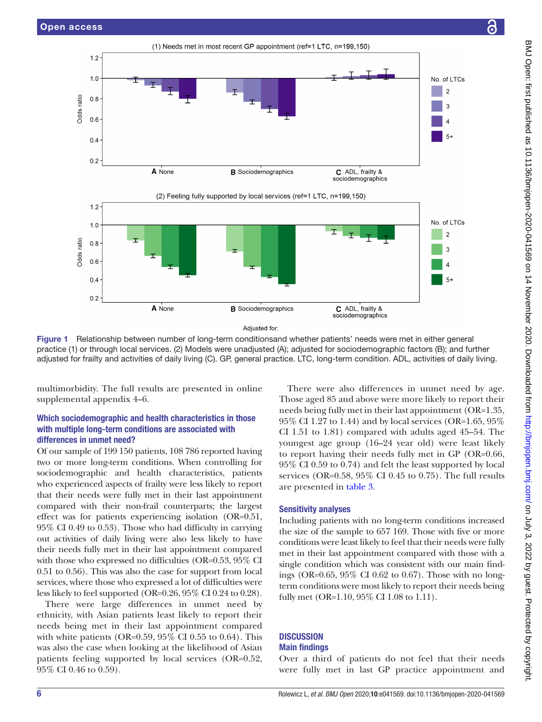

<span id="page-5-0"></span>Figure 1 Relationship between number of long-term conditionsand whether patients' needs were met in either general practice (1) or through local services. (2) Models were unadjusted (A); adjusted for sociodemographic factors (B); and further adjusted for frailty and activities of daily living (C). GP, general practice. LTC, long-term condition. ADL, activities of daily living.

multimorbidity. The full results are presented in [online](https://dx.doi.org/10.1136/bmjopen-2020-041569) [supplemental appendix](https://dx.doi.org/10.1136/bmjopen-2020-041569) 4–6.

# Which sociodemographic and health characteristics in those with multiple long-term conditions are associated with differences in unmet need?

Of our sample of 199 150 patients, 108 786 reported having two or more long-term conditions. When controlling for sociodemographic and health characteristics, patients who experienced aspects of frailty were less likely to report that their needs were fully met in their last appointment compared with their non-frail counterparts; the largest effect was for patients experiencing isolation (OR=0.51, 95% CI 0.49 to 0.53). Those who had difficulty in carrying out activities of daily living were also less likely to have their needs fully met in their last appointment compared with those who expressed no difficulties (OR=0.53, 95\% CI 0.51 to 0.56). This was also the case for support from local services, where those who expressed a lot of difficulties were less likely to feel supported (OR=0.26, 95% CI 0.24 to 0.28).

There were large differences in unmet need by ethnicity, with Asian patients least likely to report their needs being met in their last appointment compared with white patients (OR=0.59,  $95\%$  CI 0.55 to 0.64). This was also the case when looking at the likelihood of Asian patients feeling supported by local services (OR=0.52, 95% CI 0.46 to 0.59).

There were also differences in unmet need by age. Those aged 85 and above were more likely to report their needs being fully met in their last appointment (OR=1.35, 95% CI 1.27 to 1.44) and by local services (OR=1.65, 95% CI 1.51 to 1.81) compared with adults aged 45–54. The youngest age group (16–24 year old) were least likely to report having their needs fully met in GP (OR=0.66, 95% CI 0.59 to 0.74) and felt the least supported by local services (OR=0.58, 95% CI 0.45 to 0.75). The full results are presented in [table](#page-6-0) 3.

# Sensitivity analyses

Including patients with no long-term conditions increased the size of the sample to 657 169. Those with five or more conditions were least likely to feel that their needs were fully met in their last appointment compared with those with a single condition which was consistent with our main findings (OR=0.65, 95% CI 0.62 to 0.67). Those with no longterm conditions were most likely to report their needs being fully met (OR=1.10, 95% CI 1.08 to 1.11).

## **DISCUSSION** Main findings

Over a third of patients do not feel that their needs were fully met in last GP practice appointment and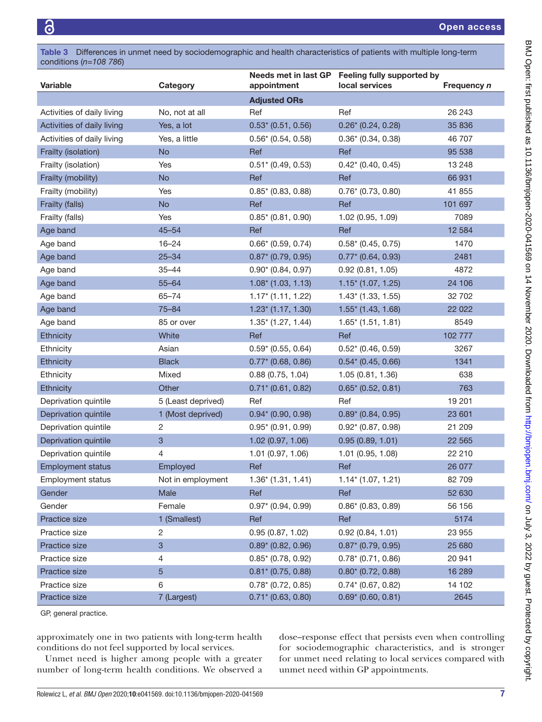<span id="page-6-0"></span>Table 3 Differences in unmet need by sociodemographic and health characteristics of patients with multiple long-term conditions (*n=108 786*)

| Variable                   | Category           | appointment                      | Needs met in last GP Feeling fully supported by<br>local services | Frequency n |
|----------------------------|--------------------|----------------------------------|-------------------------------------------------------------------|-------------|
|                            |                    | <b>Adjusted ORs</b>              |                                                                   |             |
| Activities of daily living | No, not at all     | Ref                              | Ref                                                               | 26 243      |
| Activities of daily living | Yes, a lot         | $0.53*(0.51, 0.56)$              | $0.26*(0.24, 0.28)$                                               | 35 836      |
| Activities of daily living | Yes, a little      | $0.56* (0.54, 0.58)$             | $0.36* (0.34, 0.38)$                                              | 46 707      |
| Frailty (isolation)        | <b>No</b>          | Ref                              | Ref                                                               | 95 538      |
| Frailty (isolation)        | Yes                | $0.51$ $(0.49, 0.53)$            | $0.42$ $(0.40, 0.45)$                                             | 13 248      |
| Frailty (mobility)         | <b>No</b>          | Ref                              | Ref                                                               | 66 931      |
| Frailty (mobility)         | Yes                | $0.85* (0.83, 0.88)$             | $0.76*(0.73, 0.80)$                                               | 41 855      |
| Frailty (falls)            | <b>No</b>          | Ref                              | Ref                                                               | 101 697     |
| Frailty (falls)            | Yes                | $0.85*$ (0.81, 0.90)             | 1.02 (0.95, 1.09)                                                 | 7089        |
| Age band                   | $45 - 54$          | Ref                              | Ref                                                               | 12 5 84     |
| Age band                   | $16 - 24$          | $0.66*$ (0.59, 0.74)             | $0.58*(0.45, 0.75)$                                               | 1470        |
| Age band                   | $25 - 34$          | $0.87* (0.79, 0.95)$             | $0.77*$ (0.64, 0.93)                                              | 2481        |
| Age band                   | $35 - 44$          | $0.90* (0.84, 0.97)$             | 0.92(0.81, 1.05)                                                  | 4872        |
| Age band                   | $55 - 64$          | $1.08*(1.03, 1.13)$              | $1.15*(1.07, 1.25)$                                               | 24 106      |
| Age band                   | $65 - 74$          | $1.17$ <sup>*</sup> (1.11, 1.22) | $1.43$ <sup>*</sup> (1.33, 1.55)                                  | 32 702      |
| Age band                   | $75 - 84$          | $1.23$ <sup>*</sup> (1.17, 1.30) | $1.55*(1.43, 1.68)$                                               | 22 0 22     |
| Age band                   | 85 or over         | $1.35'$ (1.27, 1.44)             | $1.65^*$ (1.51, 1.81)                                             | 8549        |
| Ethnicity                  | White              | Ref                              | Ref                                                               | 102 777     |
| Ethnicity                  | Asian              | $0.59* (0.55, 0.64)$             | $0.52*(0.46, 0.59)$                                               | 3267        |
| Ethnicity                  | <b>Black</b>       | $0.77*$ (0.68, 0.86)             | $0.54*(0.45, 0.66)$                                               | 1341        |
| Ethnicity                  | Mixed              | 0.88(0.75, 1.04)                 | 1.05(0.81, 1.36)                                                  | 638         |
| <b>Ethnicity</b>           | Other              | $0.71$ $(0.61, 0.82)$            | $0.65* (0.52, 0.81)$                                              | 763         |
| Deprivation quintile       | 5 (Least deprived) | Ref                              | Ref                                                               | 19 201      |
| Deprivation quintile       | 1 (Most deprived)  | $0.94* (0.90, 0.98)$             | $0.89* (0.84, 0.95)$                                              | 23 601      |
| Deprivation quintile       | $\overline{2}$     | $0.95* (0.91, 0.99)$             | $0.92* (0.87, 0.98)$                                              | 21 209      |
| Deprivation quintile       | $\mathbf{3}$       | 1.02(0.97, 1.06)                 | 0.95(0.89, 1.01)                                                  | 22 5 65     |
| Deprivation quintile       | $\overline{4}$     | 1.01(0.97, 1.06)                 | $1.01$ (0.95, 1.08)                                               | 22 210      |
| <b>Employment status</b>   | Employed           | Ref                              | Ref                                                               | 26 077      |
| <b>Employment status</b>   | Not in employment  | $1.36*(1.31, 1.41)$              | $1.14*(1.07, 1.21)$                                               | 82 709      |
| Gender                     | Male               | Ref                              | Ref                                                               | 52 630      |
| Gender                     | Female             | $0.97* (0.94, 0.99)$             | $0.86*$ (0.83, 0.89)                                              | 56 156      |
| Practice size              | 1 (Smallest)       | Ref                              | Ref                                                               | 5174        |
| Practice size              | 2                  | 0.95(0.87, 1.02)                 | 0.92(0.84, 1.01)                                                  | 23 955      |
| Practice size              | $\mathbf{3}$       | $0.89* (0.82, 0.96)$             | $0.87*$ (0.79, 0.95)                                              | 25 680      |
| Practice size              | 4                  | $0.85*$ (0.78, 0.92)             | $0.78*(0.71, 0.86)$                                               | 20 941      |
| Practice size              | 5                  | $0.81* (0.75, 0.88)$             | $0.80* (0.72, 0.88)$                                              | 16 289      |
| Practice size              | 6                  | $0.78*(0.72, 0.85)$              | $0.74*(0.67, 0.82)$                                               | 14 102      |
| Practice size              | 7 (Largest)        | $0.71* (0.63, 0.80)$             | $0.69* (0.60, 0.81)$                                              | 2645        |

GP, general practice.

approximately one in two patients with long-term health conditions do not feel supported by local services.

Unmet need is higher among people with a greater number of long-term health conditions. We observed a dose–response effect that persists even when controlling for sociodemographic characteristics, and is stronger for unmet need relating to local services compared with unmet need within GP appointments.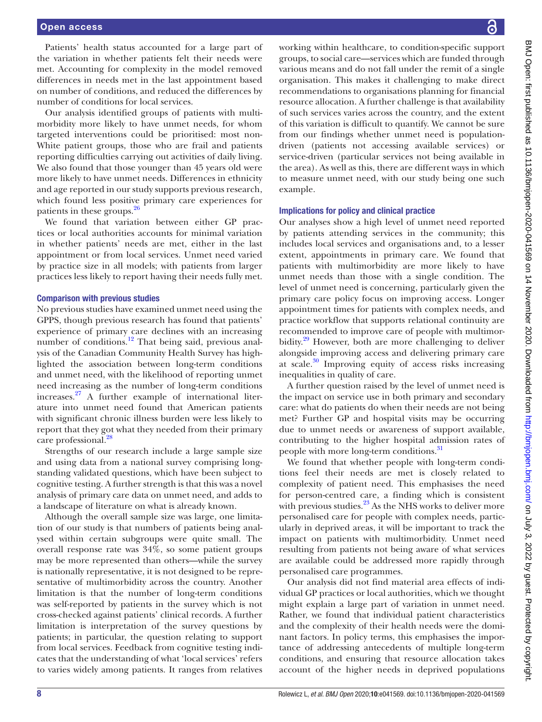# Open access

Patients' health status accounted for a large part of the variation in whether patients felt their needs were met. Accounting for complexity in the model removed differences in needs met in the last appointment based on number of conditions, and reduced the differences by number of conditions for local services.

Our analysis identified groups of patients with multimorbidity more likely to have unmet needs, for whom targeted interventions could be prioritised: most non-White patient groups, those who are frail and patients reporting difficulties carrying out activities of daily living. We also found that those younger than 45 years old were more likely to have unmet needs. Differences in ethnicity and age reported in our study supports previous research, which found less positive primary care experiences for patients in these groups.<sup>[26](#page-9-12)</sup>

We found that variation between either GP practices or local authorities accounts for minimal variation in whether patients' needs are met, either in the last appointment or from local services. Unmet need varied by practice size in all models; with patients from larger practices less likely to report having their needs fully met.

#### Comparison with previous studies

No previous studies have examined unmet need using the GPPS, though previous research has found that patients' experience of primary care declines with an increasing number of conditions.<sup>[12](#page-9-0)</sup> That being said, previous analysis of the Canadian Community Health Survey has highlighted the association between long-term conditions and unmet need, with the likelihood of reporting unmet need increasing as the number of long-term conditions increases. $27$  A further example of international literature into unmet need found that American patients with significant chronic illness burden were less likely to report that they got what they needed from their primary care professional.<sup>[28](#page-9-14)</sup>

Strengths of our research include a large sample size and using data from a national survey comprising longstanding validated questions, which have been subject to cognitive testing. A further strength is that this was a novel analysis of primary care data on unmet need, and adds to a landscape of literature on what is already known.

Although the overall sample size was large, one limitation of our study is that numbers of patients being analysed within certain subgroups were quite small. The overall response rate was 34%, so some patient groups may be more represented than others—while the survey is nationally representative, it is not designed to be representative of multimorbidity across the country. Another limitation is that the number of long-term conditions was self-reported by patients in the survey which is not cross-checked against patients' clinical records. A further limitation is interpretation of the survey questions by patients; in particular, the question relating to support from local services. Feedback from cognitive testing indicates that the understanding of what 'local services' refers to varies widely among patients. It ranges from relatives

working within healthcare, to condition-specific support groups, to social care—services which are funded through various means and do not fall under the remit of a single organisation. This makes it challenging to make direct recommendations to organisations planning for financial resource allocation. A further challenge is that availability of such services varies across the country, and the extent of this variation is difficult to quantify. We cannot be sure from our findings whether unmet need is populationdriven (patients not accessing available services) or service-driven (particular services not being available in the area). As well as this, there are different ways in which to measure unmet need, with our study being one such example.

#### Implications for policy and clinical practice

Our analyses show a high level of unmet need reported by patients attending services in the community; this includes local services and organisations and, to a lesser extent, appointments in primary care. We found that patients with multimorbidity are more likely to have unmet needs than those with a single condition. The level of unmet need is concerning, particularly given the primary care policy focus on improving access. Longer appointment times for patients with complex needs, and practice workflow that supports relational continuity are recommended to improve care of people with multimorbidity.<sup>29</sup> However, both are more challenging to deliver alongside improving access and delivering primary care at scale. $30$  Improving equity of access risks increasing inequalities in quality of care.

A further question raised by the level of unmet need is the impact on service use in both primary and secondary care: what do patients do when their needs are not being met? Further GP and hospital visits may be occurring due to unmet needs or awareness of support available, contributing to the higher hospital admission rates of people with more long-term conditions.<sup>31</sup>

We found that whether people with long-term conditions feel their needs are met is closely related to complexity of patient need. This emphasises the need for person-centred care, a finding which is consistent with previous studies. $^{23}$  As the NHS works to deliver more personalised care for people with complex needs, particularly in deprived areas, it will be important to track the impact on patients with multimorbidity. Unmet need resulting from patients not being aware of what services are available could be addressed more rapidly through personalised care programmes.

Our analysis did not find material area effects of individual GP practices or local authorities, which we thought might explain a large part of variation in unmet need. Rather, we found that individual patient characteristics and the complexity of their health needs were the dominant factors. In policy terms, this emphasises the importance of addressing antecedents of multiple long-term conditions, and ensuring that resource allocation takes account of the higher needs in deprived populations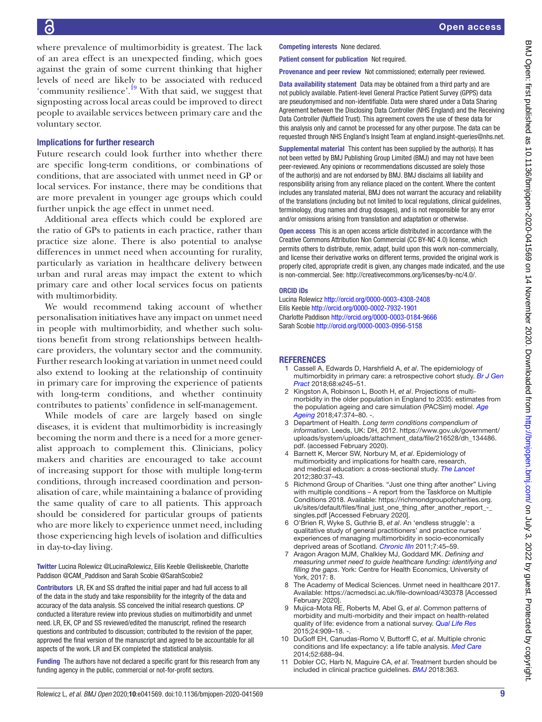where prevalence of multimorbidity is greatest. The lack of an area effect is an unexpected finding, which goes against the grain of some current thinking that higher levels of need are likely to be associated with reduced 'community resilience'.<sup>[19](#page-9-7)</sup> With that said, we suggest that signposting across local areas could be improved to direct people to available services between primary care and the voluntary sector.

# Implications for further research

Future research could look further into whether there are specific long-term conditions, or combinations of conditions, that are associated with unmet need in GP or local services. For instance, there may be conditions that are more prevalent in younger age groups which could further unpick the age effect in unmet need.

Additional area effects which could be explored are the ratio of GPs to patients in each practice, rather than practice size alone. There is also potential to analyse differences in unmet need when accounting for rurality, particularly as variation in healthcare delivery between urban and rural areas may impact the extent to which primary care and other local services focus on patients with multimorbidity.

We would recommend taking account of whether personalisation initiatives have any impact on unmet need in people with multimorbidity, and whether such solutions benefit from strong relationships between healthcare providers, the voluntary sector and the community. Further research looking at variation in unmet need could also extend to looking at the relationship of continuity in primary care for improving the experience of patients with long-term conditions, and whether continuity contributes to patients' confidence in self-management.

While models of care are largely based on single diseases, it is evident that multimorbidity is increasingly becoming the norm and there is a need for a more generalist approach to complement this. Clinicians, policy makers and charities are encouraged to take account of increasing support for those with multiple long-term conditions, through increased coordination and personalisation of care, while maintaining a balance of providing the same quality of care to all patients. This approach should be considered for particular groups of patients who are more likely to experience unmet need, including those experiencing high levels of isolation and difficulties in day-to-day living.

Twitter Lucina Rolewicz [@LucinaRolewicz](https://twitter.com/LucinaRolewicz), Eilís Keeble [@eiliskeeble,](https://twitter.com/eiliskeeble) Charlotte Paddison [@CAM\\_Paddison](https://twitter.com/CAM_Paddison) and Sarah Scobie [@SarahScobie2](https://twitter.com/SarahScobie2)

Contributors LR, EK and SS drafted the initial paper and had full access to all of the data in the study and take responsibility for the integrity of the data and accuracy of the data analysis. SS conceived the initial research questions. CP conducted a literature review into previous studies on multimorbidity and unmet need. LR, EK, CP and SS reviewed/edited the manuscript, refined the research questions and contributed to discussion; contributed to the revision of the paper, approved the final version of the manuscript and agreed to be accountable for all aspects of the work. LR and EK completed the statistical analysis.

Funding The authors have not declared a specific grant for this research from any funding agency in the public, commercial or not-for-profit sectors.

Competing interests None declared.

Patient consent for publication Not required.

Provenance and peer review Not commissioned; externally peer reviewed.

Data availability statement Data may be obtained from a third party and are not publicly available. Patient-level General Practice Patient Survey (GPPS) data are pseudonymised and non-identifiable. Data were shared under a Data Sharing Agreement between the Disclosing Data Controller (NHS England) and the Receiving Data Controller (Nuffield Trust). This agreement covers the use of these data for this analysis only and cannot be processed for any other purpose. The data can be requested through NHS England's Insight Team at england.insight-queries@nhs.net.

Supplemental material This content has been supplied by the author(s). It has not been vetted by BMJ Publishing Group Limited (BMJ) and may not have been peer-reviewed. Any opinions or recommendations discussed are solely those of the author(s) and are not endorsed by BMJ. BMJ disclaims all liability and responsibility arising from any reliance placed on the content. Where the content includes any translated material, BMJ does not warrant the accuracy and reliability of the translations (including but not limited to local regulations, clinical guidelines, terminology, drug names and drug dosages), and is not responsible for any error and/or omissions arising from translation and adaptation or otherwise.

Open access This is an open access article distributed in accordance with the Creative Commons Attribution Non Commercial (CC BY-NC 4.0) license, which permits others to distribute, remix, adapt, build upon this work non-commercially, and license their derivative works on different terms, provided the original work is properly cited, appropriate credit is given, any changes made indicated, and the use is non-commercial. See: [http://creativecommons.org/licenses/by-nc/4.0/.](http://creativecommons.org/licenses/by-nc/4.0/)

#### ORCID iDs

Lucina Rolewicz <http://orcid.org/0000-0003-4308-2408> Eilís Keeble <http://orcid.org/0000-0002-7932-1901> Charlotte Paddison<http://orcid.org/0000-0003-0184-9666> Sarah Scobie <http://orcid.org/0000-0003-0956-5158>

#### REFERENCES

- <span id="page-8-0"></span>1 Cassell A, Edwards D, Harshfield A, *et al*. The epidemiology of multimorbidity in primary care: a retrospective cohort study. *[Br J Gen](http://dx.doi.org/10.3399/bjgp18X695465)  [Pract](http://dx.doi.org/10.3399/bjgp18X695465)* 2018;68:e245–51.
- <span id="page-8-1"></span>2 Kingston A, Robinson L, Booth H, *et al*. Projections of multimorbidity in the older population in England to 2035: estimates from the population ageing and care simulation (PACSim) model. *[Age](http://dx.doi.org/10.1093/ageing/afx201)  [Ageing](http://dx.doi.org/10.1093/ageing/afx201)* 2018;47:374–80. ‐.
- <span id="page-8-2"></span>3 Department of Health. *Long term conditions compendium of information*. Leeds, UK: DH, 2012. [https://www.gov.uk/government/](https://www.gov.uk/government/uploads/system/uploads/attachment_data/file/216528/dh_134486.pdf) [uploads/system/uploads/attachment\\_data/file/216528/dh\\_134486.](https://www.gov.uk/government/uploads/system/uploads/attachment_data/file/216528/dh_134486.pdf) [pdf.](https://www.gov.uk/government/uploads/system/uploads/attachment_data/file/216528/dh_134486.pdf) (accessed February 2020).
- <span id="page-8-3"></span>4 Barnett K, Mercer SW, Norbury M, *et al*. Epidemiology of multimorbidity and implications for health care, research, and medical education: a cross-sectional study. *[The Lancet](http://dx.doi.org/10.1016/S0140-6736(12)60240-2)* 2012;380:37–43.
- <span id="page-8-4"></span>5 Richmond Group of Charities. "Just one thing after another" Living with multiple conditions – A report from the Taskforce on Multiple Conditions 2018. Available: [https://richmondgroupofcharities.org.](https://richmondgroupofcharities.org.uk/sites/default/files/final_just_one_thing_after_another_report_-_singles.pdf) [uk/sites/default/files/final\\_just\\_one\\_thing\\_after\\_another\\_report\\_-\\_](https://richmondgroupofcharities.org.uk/sites/default/files/final_just_one_thing_after_another_report_-_singles.pdf) [singles.pdf](https://richmondgroupofcharities.org.uk/sites/default/files/final_just_one_thing_after_another_report_-_singles.pdf) [Accessed February 2020].
- <span id="page-8-5"></span>6 O'Brien R, Wyke S, Guthrie B, *et al*. An 'endless struggle': a qualitative study of general practitioners' and practice nurses' experiences of managing multimorbidity in socio-economically deprived areas of Scotland. *[Chronic Illn](http://dx.doi.org/10.1177/1742395310382461)* 2011;7:45–59.
- <span id="page-8-6"></span>7 Aragon Aragon MJM, Chalkley MJ, Goddard MK. *Defining and measuring unmet need to guide healthcare funding: identifying and filling the gaps*. York: Centre for Health Economics, University of York, 2017: 8.
- <span id="page-8-7"></span>8 The Academy of Medical Sciences. Unmet need in healthcare 2017. Available: <https://acmedsci.ac.uk/file-download/430378> [Accessed February 2020].
- <span id="page-8-8"></span>9 Mujica-Mota RE, Roberts M, Abel G, *et al*. Common patterns of morbidity and multi-morbidity and their impact on health-related quality of life: evidence from a national survey. *[Qual Life Res](http://dx.doi.org/10.1007/s11136-014-0820-7)* 2015;24:909–18. ‐.
- <span id="page-8-9"></span>10 DuGoff EH, Canudas-Romo V, Buttorff C, *et al*. Multiple chronic conditions and life expectancy: a life table analysis. *[Med Care](http://dx.doi.org/10.1097/MLR.0000000000000166)* 2014;52:688–94.
- <span id="page-8-10"></span>11 Dobler CC, Harb N, Maguire CA, *et al*. Treatment burden should be included in clinical practice guidelines. *[BMJ](http://dx.doi.org/10.1136/bmj.k4065)* 2018:363.